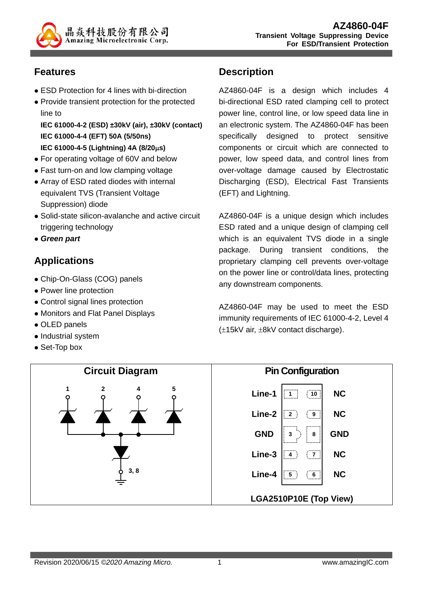

### **Features**

- ESD Protection for 4 lines with bi-direction
- Provide transient protection for the protected line to

**IEC 61000-4-2 (ESD) ±30kV (air), ±30kV (contact) IEC 61000-4-4 (EFT) 50A (5/50ns) IEC 61000-4-5 (Lightning) 4A (8/20s)** 

- For operating voltage of 60V and below
- Fast turn-on and low clamping voltage
- Array of ESD rated diodes with internal equivalent TVS (Transient Voltage Suppression) diode
- Solid-state silicon-avalanche and active circuit triggering technology
- *Green part*

# **Applications**

- Chip-On-Glass (COG) panels
- Power line protection
- Control signal lines protection
- Monitors and Flat Panel Displays
- OLED panels
- Industrial system
- Set-Top box

#### **Description**

AZ4860-04F is a design which includes 4 bi-directional ESD rated clamping cell to protect power line, control line, or low speed data line in an electronic system. The AZ4860-04F has been specifically designed to protect sensitive components or circuit which are connected to power, low speed data, and control lines from over-voltage damage caused by Electrostatic Discharging (ESD), Electrical Fast Transients (EFT) and Lightning.

AZ4860-04F is a unique design which includes ESD rated and a unique design of clamping cell which is an equivalent TVS diode in a single package. During transient conditions, the proprietary clamping cell prevents over-voltage on the power line or control/data lines, protecting any downstream components.

AZ4860-04F may be used to meet the ESD immunity requirements of IEC 61000-4-2, Level 4  $(\pm 15kV \text{ air}, \pm 8kV \text{ contact discharge}).$ 

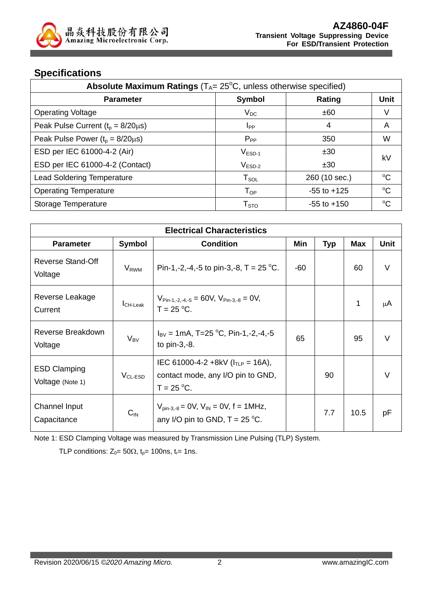

#### **Specifications**

| <b>Absolute Maximum Ratings</b> ( $T_A = 25^\circ\text{C}$ , unless otherwise specified) |                  |                 |             |  |
|------------------------------------------------------------------------------------------|------------------|-----------------|-------------|--|
| <b>Parameter</b>                                                                         | <b>Symbol</b>    | Rating          | <b>Unit</b> |  |
| <b>Operating Voltage</b>                                                                 | $V_{DC}$         | ±60             | V           |  |
| Peak Pulse Current $(t_p = 8/20 \mu s)$                                                  | I <sub>PP</sub>  | 4               | A           |  |
| Peak Pulse Power $(t_0 = 8/20 \mu s)$                                                    | $P_{PP}$         | 350             | W           |  |
| ESD per IEC 61000-4-2 (Air)                                                              | $V_{ESD-1}$      | ±30             | kV          |  |
| ESD per IEC 61000-4-2 (Contact)                                                          | $V_{ESD-2}$      | ±30             |             |  |
| <b>Lead Soldering Temperature</b>                                                        | $T_{SOL}$        | 260 (10 sec.)   | $^{\circ}C$ |  |
| <b>Operating Temperature</b>                                                             | $T_{OP}$         | $-55$ to $+125$ | $\rm ^{o}C$ |  |
| Storage Temperature                                                                      | T <sub>STO</sub> | $-55$ to $+150$ | $^{\circ}C$ |  |

| <b>Electrical Characteristics</b>       |                             |                                                                                                   |     |            |            |             |
|-----------------------------------------|-----------------------------|---------------------------------------------------------------------------------------------------|-----|------------|------------|-------------|
| <b>Parameter</b>                        | <b>Symbol</b>               | <b>Condition</b>                                                                                  | Min | <b>Typ</b> | <b>Max</b> | <b>Unit</b> |
| Reverse Stand-Off<br>Voltage            | V <sub>RWM</sub>            | Pin-1,-2,-4,-5 to pin-3,-8, T = $25^{\circ}$ C.                                                   | -60 |            | 60         | $\vee$      |
| Reverse Leakage<br>Current              | $I_{CH\text{-}\text{Leak}}$ | $V_{\text{Pin-1,-2,-4,-5}} = 60V, V_{\text{Pin-3,-8}} = 0V,$<br>$T = 25 °C$ .                     |     |            | 1          | μA          |
| Reverse Breakdown<br>Voltage            | $V_{BV}$                    | $I_{\text{BV}}$ = 1mA, T=25 °C, Pin-1,-2,-4,-5<br>to $pin-3,-8$ .                                 | 65  |            | 95         | $\vee$      |
| <b>ESD Clamping</b><br>Voltage (Note 1) | $V_{CL-ESD}$                | IEC 61000-4-2 +8kV ( $I_{TLP}$ = 16A),<br>contact mode, any I/O pin to GND,<br>$T = 25 °C$ .      |     | 90         |            | $\vee$      |
| Channel Input<br>Capacitance            | $C_{IN}$                    | $V_{\text{pin-3.-8}} = 0 V, V_{\text{IN}} = 0 V, f = 1 M Hz,$<br>any I/O pin to GND, $T = 25$ °C. |     | 7.7        | 10.5       | рF          |

Note 1: ESD Clamping Voltage was measured by Transmission Line Pulsing (TLP) System.

TLP conditions:  $Z_0 = 50\Omega$ ,  $t_0 = 100$ ns,  $t_r = 1$ ns.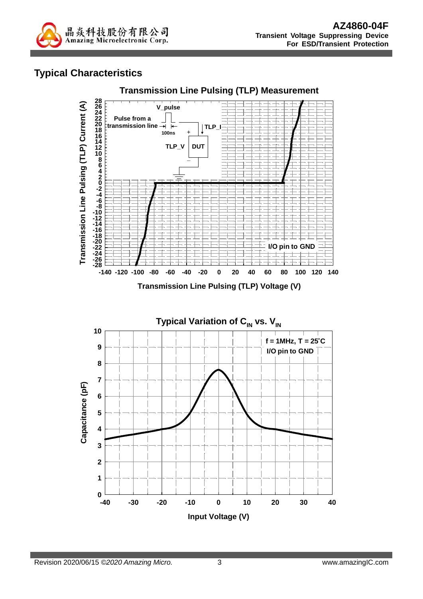

### **Typical Characteristics**



**1**

 $0 - 40$ 

**Input Voltage (V)**

**-40 -30 -20 -10 0 10 20 30 40**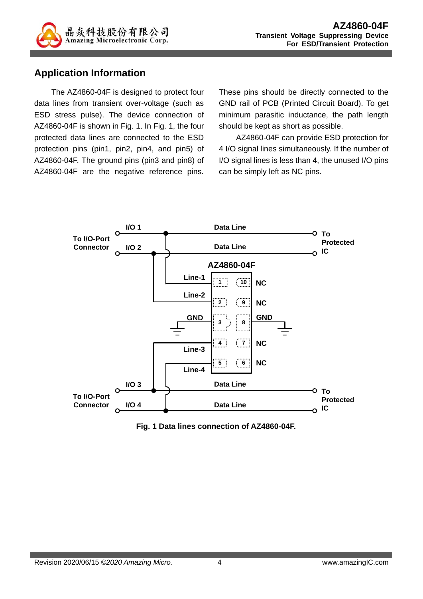

#### **Application Information**

The AZ4860-04F is designed to protect four data lines from transient over-voltage (such as ESD stress pulse). The device connection of AZ4860-04F is shown in Fig. 1. In Fig. 1, the four protected data lines are connected to the ESD protection pins (pin1, pin2, pin4, and pin5) of AZ4860-04F. The ground pins (pin3 and pin8) of AZ4860-04F are the negative reference pins.

These pins should be directly connected to the GND rail of PCB (Printed Circuit Board). To get minimum parasitic inductance, the path length should be kept as short as possible.

AZ4860-04F can provide ESD protection for 4 I/O signal lines simultaneously. If the number of I/O signal lines is less than 4, the unused I/O pins can be simply left as NC pins.



**Fig. 1 Data lines connection of AZ4860-04F.**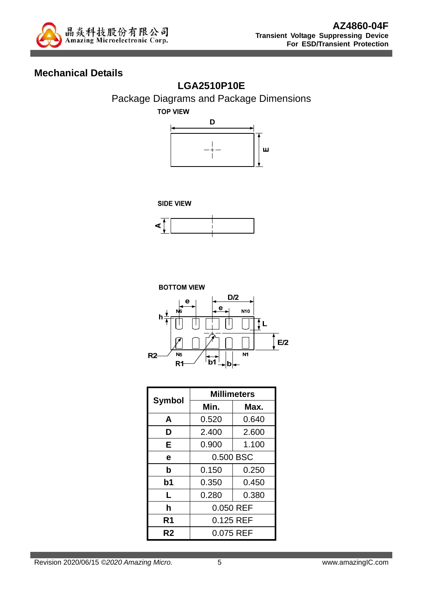

### **Mechanical Details**

### **LGA2510P10E**



**TOP VIEW** 









|                | <b>Millimeters</b> |       |  |  |
|----------------|--------------------|-------|--|--|
| Symbol         | Min.               | Max.  |  |  |
| A              | 0.520              | 0.640 |  |  |
| D              | 2.400              | 2.600 |  |  |
| E              | 0.900              | 1.100 |  |  |
| e              | 0.500 BSC          |       |  |  |
| b              | 0.150              | 0.250 |  |  |
| b <sub>1</sub> | 0.350              | 0.450 |  |  |
| L              | 0.280              | 0.380 |  |  |
| h              | 0.050 REF          |       |  |  |
| R <sub>1</sub> | 0.125 REF          |       |  |  |
| R2             | 0.075 REF          |       |  |  |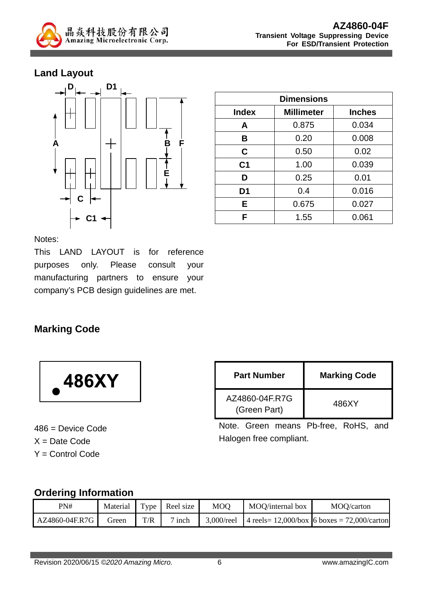

#### **Land Layout**



| <b>Dimensions</b> |                                    |       |  |
|-------------------|------------------------------------|-------|--|
| <b>Index</b>      | <b>Millimeter</b><br><b>Inches</b> |       |  |
| A                 | 0.875                              | 0.034 |  |
| B                 | 0.20                               | 0.008 |  |
| C                 | 0.50                               | 0.02  |  |
| C <sub>1</sub>    | 1.00                               | 0.039 |  |
| D                 | 0.25                               | 0.01  |  |
| D <sub>1</sub>    | 0.4                                | 0.016 |  |
| Е                 | 0.675                              | 0.027 |  |
| F                 | 1.55                               | 0.061 |  |

Notes:

This LAND LAYOUT is for reference purposes only. Please consult your manufacturing partners to ensure your company's PCB design guidelines are met.

### **Marking Code**



486 = Device Code  $X =$  Date Code Y = Control Code

| <b>Part Number</b>             | <b>Marking Code</b> |
|--------------------------------|---------------------|
| AZ4860-04F.R7G<br>(Green Part) | 486XY               |

Note. Green means Pb-free, RoHS, and Halogen free compliant.

#### **Ordering Information**

| PN#            | Material |     | Type Reel size | MOO           | MOQ/internal box | MOQ/carton                                        |
|----------------|----------|-----|----------------|---------------|------------------|---------------------------------------------------|
| AZ4860-04F.R7G | freen    | T/R | $\sigma$ inch  | $3.000$ /reel |                  | 4 reels= $12,000/b$ ox 6 boxes = $72,000/c$ arton |